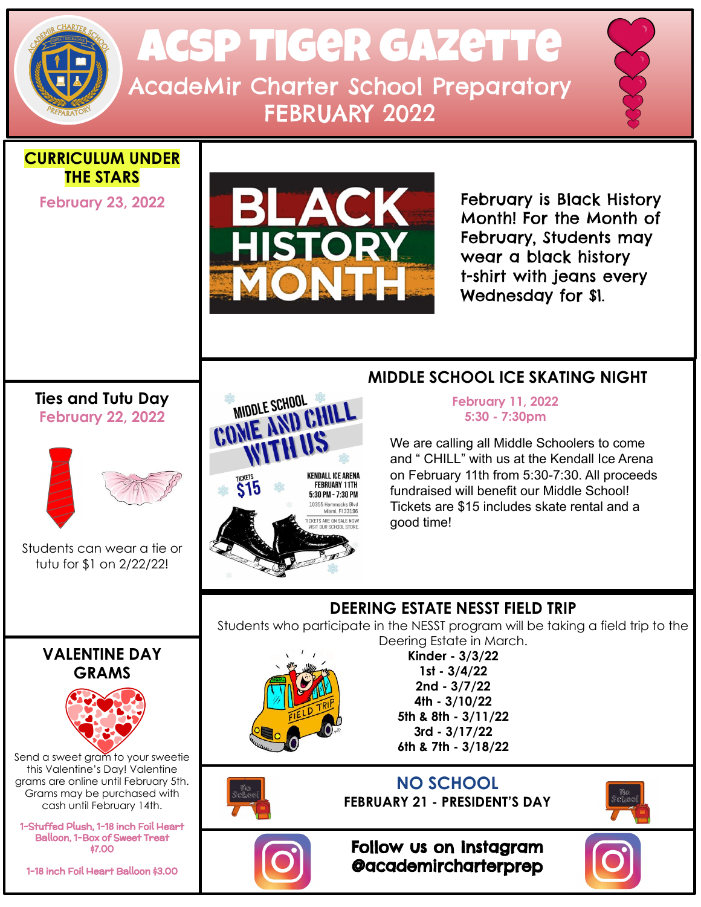# Acsp Tiger gazette AcadeMir Charter School Preparatory FEBRUARY 2022

**CURRICULUM UNDER THE STARS**

**February 23, 2022**



February is Black History Month! For the Month of February, Students may wear a black history t-shirt with jeans every Wednesday for \$1.

#### **Ties and Tutu Day February 22, 2022**



Students can wear a tie or tutu for \$1 on 2/22/22!



### **MIDDLE SCHOOL ICE SKATING NIGHT**

 **5:30 - 7:30pm**

We are calling all Middle Schoolers to come and " CHILL" with us at the Kendall Ice Arena on February 11th from 5:30-7:30. All proceeds fundraised will benefit our Middle School! Tickets are \$15 includes skate rental and a good time!

## **VALENTINE DAY GRAMS**



Send a sweet gram to your sweetie this Valentine's Day! Valentine grams are online until February 5th. Grams may be purchased with cash until February 14th.

1-Stuffed Plush, 1-18 inch Foil Heart Balloon, 1-Box of Sweet Treat \$7.00

1-18 inch Foil Heart Balloon \$3.00

#### **DEERING ESTATE NESST FIELD TRIP** Students who participate in the NESST program will be taking a field trip to the Deering Estate in March.

**Kinder - 3/3/22 1st - 3/4/22 2nd - 3/7/22 4th - 3/10/22 5th & 8th - 3/11/22 3rd - 3/17/22 6th & 7th - 3/18/22**